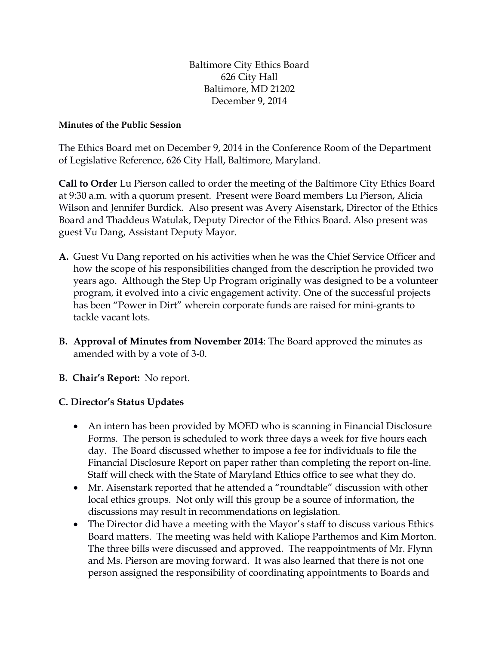Baltimore City Ethics Board 626 City Hall Baltimore, MD 21202 December 9, 2014

## **Minutes of the Public Session**

The Ethics Board met on December 9, 2014 in the Conference Room of the Department of Legislative Reference, 626 City Hall, Baltimore, Maryland.

**Call to Order** Lu Pierson called to order the meeting of the Baltimore City Ethics Board at 9:30 a.m. with a quorum present. Present were Board members Lu Pierson, Alicia Wilson and Jennifer Burdick. Also present was Avery Aisenstark, Director of the Ethics Board and Thaddeus Watulak, Deputy Director of the Ethics Board. Also present was guest Vu Dang, Assistant Deputy Mayor.

- **A.** Guest Vu Dang reported on his activities when he was the Chief Service Officer and how the scope of his responsibilities changed from the description he provided two years ago. Although the Step Up Program originally was designed to be a volunteer program, it evolved into a civic engagement activity. One of the successful projects has been "Power in Dirt" wherein corporate funds are raised for mini-grants to tackle vacant lots.
- **B. Approval of Minutes from November 2014**: The Board approved the minutes as amended with by a vote of 3-0.

## **B. Chair's Report:** No report.

## **C. Director's Status Updates**

- An intern has been provided by MOED who is scanning in Financial Disclosure Forms. The person is scheduled to work three days a week for five hours each day. The Board discussed whether to impose a fee for individuals to file the Financial Disclosure Report on paper rather than completing the report on-line. Staff will check with the State of Maryland Ethics office to see what they do.
- Mr. Aisenstark reported that he attended a "roundtable" discussion with other local ethics groups. Not only will this group be a source of information, the discussions may result in recommendations on legislation.
- The Director did have a meeting with the Mayor's staff to discuss various Ethics Board matters. The meeting was held with Kaliope Parthemos and Kim Morton. The three bills were discussed and approved. The reappointments of Mr. Flynn and Ms. Pierson are moving forward. It was also learned that there is not one person assigned the responsibility of coordinating appointments to Boards and